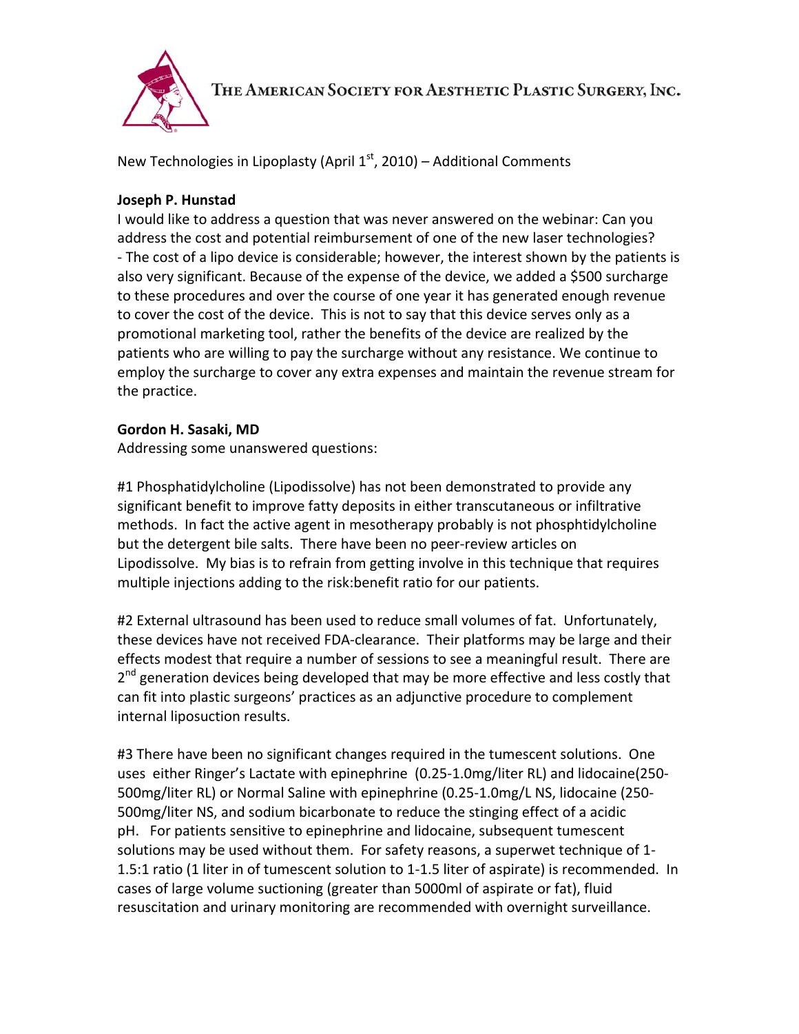

THE AMERICAN SOCIETY FOR AESTHETIC PLASTIC SURGERY, INC.

New Technologies in Lipoplasty (April  $1<sup>st</sup>$ , 2010) – Additional Comments

## **Joseph P. Hunstad**

I would like to address a question that was never answered on the webinar: Can you address the cost and potential reimbursement of one of the new laser technologies? ‐ The cost of a lipo device is considerable; however, the interest shown by the patients is also very significant. Because of the expense of the device, we added a \$500 surcharge to these procedures and over the course of one year it has generated enough revenue to cover the cost of the device. This is not to say that this device serves only as a promotional marketing tool, rather the benefits of the device are realized by the patients who are willing to pay the surcharge without any resistance. We continue to employ the surcharge to cover any extra expenses and maintain the revenue stream for the practice.

## **Gordon H. Sasaki, MD**

Addressing some unanswered questions:

#1 Phosphatidylcholine (Lipodissolve) has not been demonstrated to provide any significant benefit to improve fatty deposits in either transcutaneous or infiltrative methods. In fact the active agent in mesotherapy probably is not phosphtidylcholine but the detergent bile salts. There have been no peer‐review articles on Lipodissolve. My bias is to refrain from getting involve in this technique that requires multiple injections adding to the risk:benefit ratio for our patients.

#2 External ultrasound has been used to reduce small volumes of fat. Unfortunately, these devices have not received FDA‐clearance. Their platforms may be large and their effects modest that require a number of sessions to see a meaningful result. There are  $2<sup>nd</sup>$  generation devices being developed that may be more effective and less costly that can fit into plastic surgeons' practices as an adjunctive procedure to complement internal liposuction results.

#3 There have been no significant changes required in the tumescent solutions. One uses either Ringer's Lactate with epinephrine (0.25‐1.0mg/liter RL) and lidocaine(250‐ 500mg/liter RL) or Normal Saline with epinephrine (0.25‐1.0mg/L NS, lidocaine (250‐ 500mg/liter NS, and sodium bicarbonate to reduce the stinging effect of a acidic pH. For patients sensitive to epinephrine and lidocaine, subsequent tumescent solutions may be used without them. For safety reasons, a superwet technique of 1‐ 1.5:1 ratio (1 liter in of tumescent solution to 1‐1.5 liter of aspirate) is recommended. In cases of large volume suctioning (greater than 5000ml of aspirate or fat), fluid resuscitation and urinary monitoring are recommended with overnight surveillance.